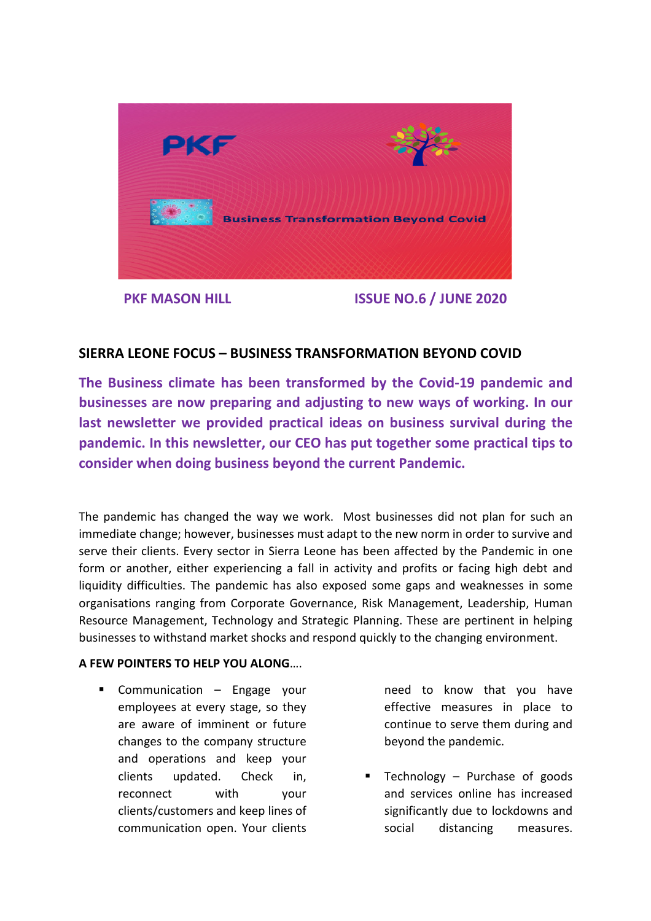

 **PKF MASON HILL ISSUE NO.6 / JUNE 2020**

## **SIERRA LEONE FOCUS – BUSINESS TRANSFORMATION BEYOND COVID**

**The Business climate has been transformed by the Covid-19 pandemic and businesses are now preparing and adjusting to new ways of working. In our last newsletter we provided practical ideas on business survival during the pandemic. In this newsletter, our CEO has put together some practical tips to consider when doing business beyond the current Pandemic.** 

The pandemic has changed the way we work. Most businesses did not plan for such an immediate change; however, businesses must adapt to the new norm in order to survive and serve their clients. Every sector in Sierra Leone has been affected by the Pandemic in one form or another, either experiencing a fall in activity and profits or facing high debt and liquidity difficulties. The pandemic has also exposed some gaps and weaknesses in some organisations ranging from Corporate Governance, Risk Management, Leadership, Human Resource Management, Technology and Strategic Planning. These are pertinent in helping businesses to withstand market shocks and respond quickly to the changing environment.

## **A FEW POINTERS TO HELP YOU ALONG**….

**Communication – Engage your** employees at every stage, so they are aware of imminent or future changes to the company structure and operations and keep your clients updated. Check in, reconnect with your clients/customers and keep lines of communication open. Your clients

need to know that you have effective measures in place to continue to serve them during and beyond the pandemic.

Technology – Purchase of goods and services online has increased significantly due to lockdowns and social distancing measures.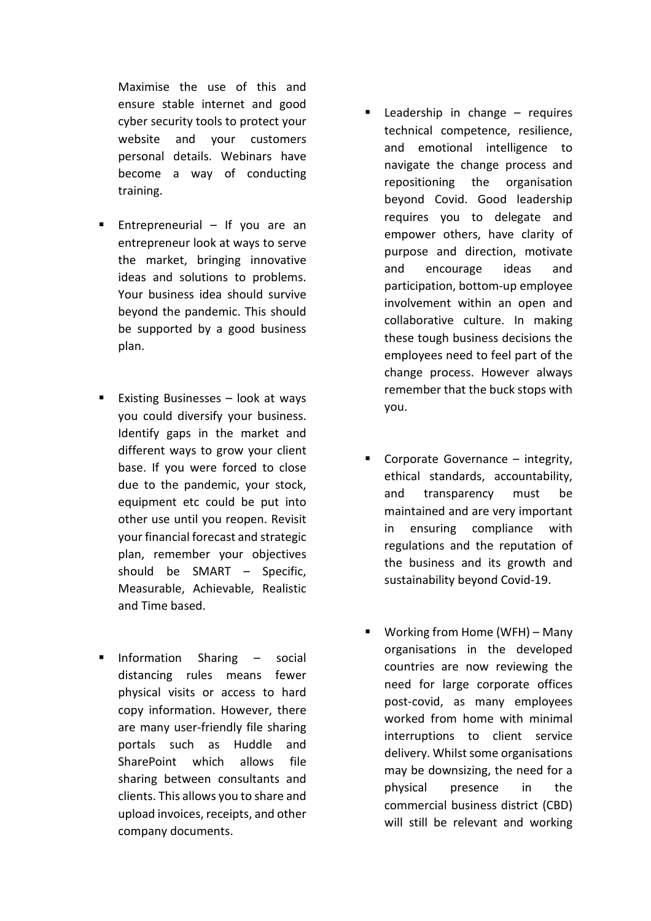Maximise the use of this and ensure stable internet and good cyber security tools to protect your website and your customers personal details. Webinars have become a way of conducting training.

- Entrepreneurial  $-$  If you are an entrepreneur look at ways to serve the market, bringing innovative ideas and solutions to problems. Your business idea should survive beyond the pandemic. This should be supported by a good business plan.
- Existing Businesses  $-$  look at ways you could diversify your business. Identify gaps in the market and different ways to grow your client base. If you were forced to close due to the pandemic, your stock, equipment etc could be put into other use until you reopen. Revisit your financial forecast and strategic plan, remember your objectives should be SMART – Specific, Measurable, Achievable, Realistic and Time based.
- $\blacksquare$  Information Sharing  $-$  social distancing rules means fewer physical visits or access to hard copy information. However, there are many user-friendly file sharing portals such as Huddle and SharePoint which allows file sharing between consultants and clients. This allows you to share and upload invoices, receipts, and other company documents.
- Leadership in change  $-$  requires technical competence, resilience, and emotional intelligence to navigate the change process and repositioning the organisation beyond Covid. Good leadership requires you to delegate and empower others, have clarity of purpose and direction, motivate and encourage ideas and participation, bottom-up employee involvement within an open and collaborative culture. In making these tough business decisions the employees need to feel part of the change process. However always remember that the buck stops with you.
- Corporate Governance  $-$  integrity, ethical standards, accountability, and transparency must be maintained and are very important in ensuring compliance with regulations and the reputation of the business and its growth and sustainability beyond Covid-19.
- Working from Home (WFH) Many organisations in the developed countries are now reviewing the need for large corporate offices post-covid, as many employees worked from home with minimal interruptions to client service delivery. Whilst some organisations may be downsizing, the need for a physical presence in the commercial business district (CBD) will still be relevant and working